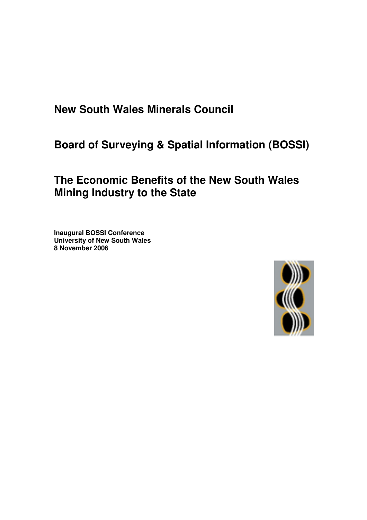**New South Wales Minerals Council**

**Board of Surveying & Spatial Information (BOSSI)**

# **The Economic Benefits of the New South Wales Mining Industry to the State**

**Inaugural BOSSI Conference University of New South Wales 8 November 2006**

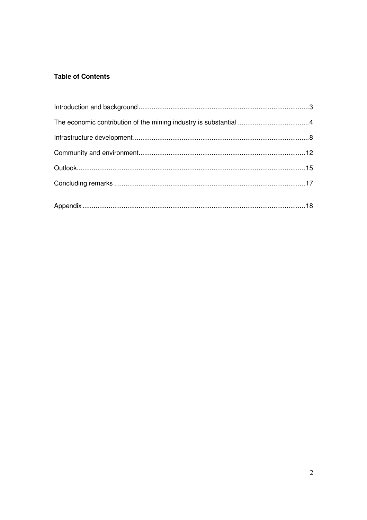## **Table of Contents**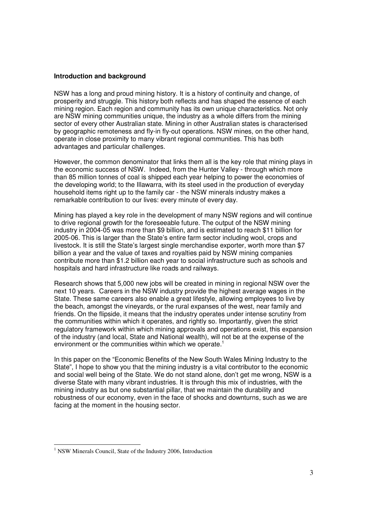#### **Introduction and background**

NSW has a long and proud mining history. It is a history of continuity and change, of prosperity and struggle. This history both reflects and has shaped the essence of each mining region. Each region and community has its own unique characteristics. Not only are NSW mining communities unique, the industry as a whole differs from the mining sector of every other Australian state. Mining in other Australian states is characterised by geographic remoteness and fly-in fly-out operations. NSW mines, on the other hand, operate in close proximity to many vibrant regional communities. This has both advantages and particular challenges.

However, the common denominator that links them all is the key role that mining plays in the economic success of NSW. Indeed, from the Hunter Valley - through which more than 85 million tonnes of coal is shipped each year helping to power the economies of the developing world; to the Illawarra, with its steel used in the production of everyday household items right up to the family car - the NSW minerals industry makes a remarkable contribution to our lives: every minute of every day.

Mining has played a key role in the development of many NSW regions and will continue to drive regional growth for the foreseeable future. The output of the NSW mining industry in 2004-05 was more than \$9 billion, and is estimated to reach \$11 billion for 2005-06. This is larger than the State's entire farm sector including wool, crops and livestock. It is still the State's largest single merchandise exporter, worth more than \$7 billion a year and the value of taxes and royalties paid by NSW mining companies contribute more than \$1.2 billion each year to social infrastructure such as schools and hospitals and hard infrastructure like roads and railways.

Research shows that 5,000 new jobs will be created in mining in regional NSW over the next 10 years. Careers in the NSW industry provide the highest average wages in the State. These same careers also enable a great lifestyle, allowing employees to live by the beach, amongst the vineyards, or the rural expanses of the west, near family and friends. On the flipside, it means that the industry operates under intense scrutiny from the communities within which it operates, and rightly so. Importantly, given the strict regulatory framework within which mining approvals and operations exist, this expansion of the industry (and local, State and National wealth), will not be at the expense of the environment or the communities within which we operate.<sup>1</sup>

In this paper on the "Economic Benefits of the New South Wales Mining Industry to the State", I hope to show you that the mining industry is a vital contributor to the economic and social well being of the State. We do not stand alone, don't get me wrong, NSW is a diverse State with many vibrant industries. It is through this mix of industries, with the mining industry as but one substantial pillar, that we maintain the durability and robustness of our economy, even in the face of shocks and downturns, such as we are facing at the moment in the housing sector.

<sup>&</sup>lt;sup>1</sup> NSW Minerals Council, State of the Industry 2006, Introduction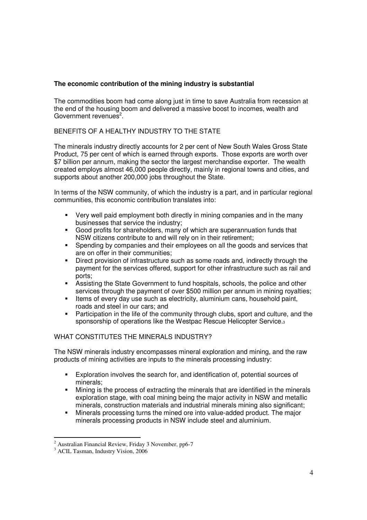### **The economic contribution of the mining industry is substantial**

The commodities boom had come along just in time to save Australia from recession at the end of the housing boom and delivered a massive boost to incomes, wealth and Government revenues<sup>2</sup>.

## BENEFITS OF A HEALTHY INDUSTRY TO THE STATE

The minerals industry directly accounts for 2 per cent of New South Wales Gross State Product, 75 per cent of which is earned through exports. Those exports are worth over \$7 billion per annum, making the sector the largest merchandise exporter. The wealth created employs almost 46,000 people directly, mainly in regional towns and cities, and supports about another 200,000 jobs throughout the State.

In terms of the NSW community, of which the industry is a part, and in particular regional communities, this economic contribution translates into:

- Very well paid employment both directly in mining companies and in the many businesses that service the industry;
- Good profits for shareholders, many of which are superannuation funds that NSW citizens contribute to and will rely on in their retirement;
- **Spending by companies and their employees on all the goods and services that** are on offer in their communities;
- Direct provision of infrastructure such as some roads and, indirectly through the payment for the services offered, support for other infrastructure such as rail and ports;
- Assisting the State Government to fund hospitals, schools, the police and other services through the payment of over \$500 million per annum in mining royalties;
- Items of every day use such as electricity, aluminium cans, household paint, roads and steel in our cars; and
- **Participation in the life of the community through clubs, sport and culture, and the** sponsorship of operations like the Westpac Rescue Helicopter Service.<sup>3</sup>

## WHAT CONSTITUTES THE MINERALS INDUSTRY?

The NSW minerals industry encompasses mineral exploration and mining, and the raw products of mining activities are inputs to the minerals processing industry:

- Exploration involves the search for, and identification of, potential sources of minerals;
- Mining is the process of extracting the minerals that are identified in the minerals exploration stage, with coal mining being the major activity in NSW and metallic minerals, construction materials and industrial minerals mining also significant;
- Minerals processing turns the mined ore into value-added product. The major minerals processing products in NSW include steel and aluminium.

<sup>2</sup> Australian Financial Review, Friday 3 November, pp6-7

<sup>&</sup>lt;sup>3</sup> ACIL Tasman, Industry Vision, 2006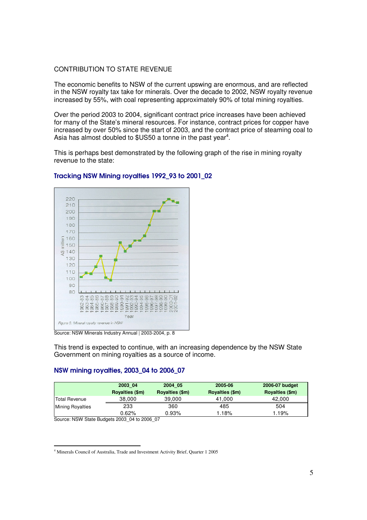#### CONTRIBUTION TO STATE REVENUE

The economic benefits to NSW of the current upswing are enormous, and are reflected in the NSW royalty tax take for minerals. Over the decade to 2002, NSW royalty revenue increased by 55%, with coal representing approximately 90% of total mining royalties.

Over the period 2003 to 2004, significant contract price increases have been achieved for many of the State's mineral resources. For instance, contract prices for copper have increased by over 50% since the start of 2003, and the contract price of steaming coal to Asia has almost doubled to \$US50 a tonne in the past year<sup>4</sup>.

This is perhaps best demonstrated by the following graph of the rise in mining royalty revenue to the state:



## Tracking NSW Mining royalties 1992\_93 to 2001\_02

Source: NSW Minerals Industry Annual | 2003-2004, p. 8

This trend is expected to continue, with an increasing dependence by the NSW State Government on mining royalties as a source of income.

#### NSW mining royalties, 2003\_04 to 2006\_07

|                         | 2003 04         | 2004 05         | 2005-06         | 2006-07 budget  |
|-------------------------|-----------------|-----------------|-----------------|-----------------|
|                         | Royalties (\$m) | Rovalties (\$m) | Royalties (\$m) | Royalties (\$m) |
| Total Revenue           | 38,000          | 39.000          | 41.000          | 42.000          |
| <b>Mining Royalties</b> | 233             | 360             | 485             | 504             |
|                         | 0.62%           | 0.93%           | .18%            | .19%            |

Source: NSW State Budgets 2003\_04 to 2006\_07

<sup>4</sup> Minerals Council of Australia, Trade and Investment Activity Brief, Quarter 1 2005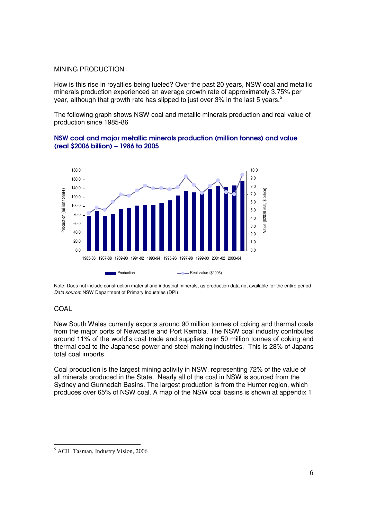#### MINING PRODUCTION

How is this rise in royalties being fueled? Over the past 20 years, NSW coal and metallic minerals production experienced an average growth rate of approximately 3.75% per year, although that growth rate has slipped to just over 3% in the last 5 years.<sup>5</sup>

The following graph shows NSW coal and metallic minerals production and real value of production since 1985-86

### NSW coal and major metallic minerals production (million tonnes) and value (real \$2006 billion) – 1986 to 2005



Note: Does not include construction material and industrial minerals, as production data not available for the entire period *Data source*: NSW Department of Primary Industries (DPI)

### COAL

New South Wales currently exports around 90 million tonnes of coking and thermal coals from the major ports of Newcastle and Port Kembla. The NSW coal industry contributes around 11% of the world's coal trade and supplies over 50 million tonnes of coking and thermal coal to the Japanese power and steel making industries. This is 28% of Japans total coal imports.

Coal production is the largest mining activity in NSW, representing 72% of the value of all minerals produced in the State. Nearly all of the coal in NSW is sourced from the Sydney and Gunnedah Basins. The largest production is from the Hunter region, which produces over 65% of NSW coal. A map of the NSW coal basins is shown at appendix 1

<sup>5</sup> ACIL Tasman, Industry Vision, 2006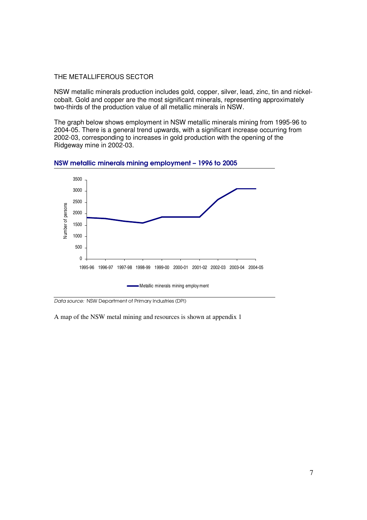#### THE METALLIFEROUS SECTOR

NSW metallic minerals production includes gold, copper, silver, lead, zinc, tin and nickelcobalt. Gold and copper are the most significant minerals, representing approximately two-thirds of the production value of all metallic minerals in NSW.

The graph below shows employment in NSW metallic minerals mining from 1995-96 to 2004-05. There is a general trend upwards, with a significant increase occurring from 2002-03, corresponding to increases in gold production with the opening of the Ridgeway mine in 2002-03.





*Data source:* NSW Department of Primary Industries (DPI)

A map of the NSW metal mining and resources is shown at appendix 1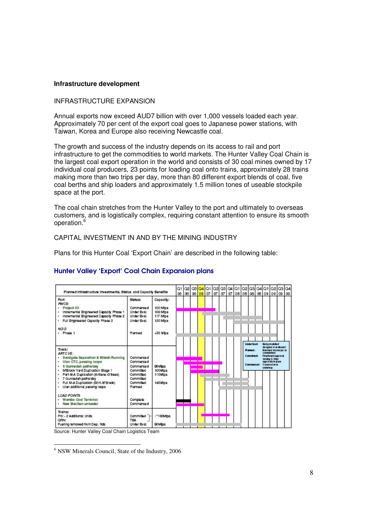#### **Infrastructure development**

#### INFRASTRUCTURE EXPANSION

Annual exports now exceed AUD7 billion with over 1,000 vessels loaded each year. Approximately 70 per cent of the export coal goes to Japanese power stations, with Taiwan, Korea and Europe also receiving Newcastle coal.

The growth and success of the industry depends on its access to rail and port infrastructure to get the commodities to world markets. The Hunter Valley Coal Chain is the largest coal export operation in the world and consists of 30 coal mines owned by 17 individual coal producers, 23 points for loading coal onto trains, approximately 28 trains making more than two trips per day, more than 80 different export blends of coal, five coal berths and ship loaders and approximately 1.5 million tones of useable stockpile space at the port.

The coal chain stretches from the Hunter Valley to the port and ultimately to overseas customers, and is logistically complex, requiring constant attention to ensure its smooth operation. 6

#### CAPITAL INVESTMENT IN AND BY THE MINING INDUSTRY

Plans for this Hunter Coal 'Export Chain' are described in the following table:



#### Hunter Valley 'Export' Coal Chain Expansion plans

Source: Hunter Valley Coal Chain Logistics Team

<sup>6</sup> NSW Minerals Council, State of the Industry, 2006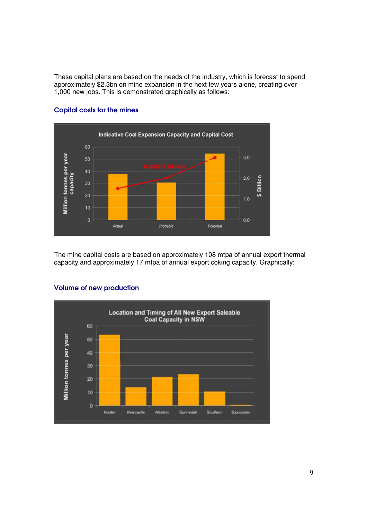These capital plans are based on the needs of the industry, which is forecast to spend approximately \$2.3bn on mine expansion in the next few years alone, creating over 1,000 new jobs. This is demonstrated graphically as follows:



#### Capital costs for the mines

The mine capital costs are based on approximately 108 mtpa of annual export thermal capacity and approximately 17 mtpa of annual export coking capacity. Graphically:



#### Volume of new production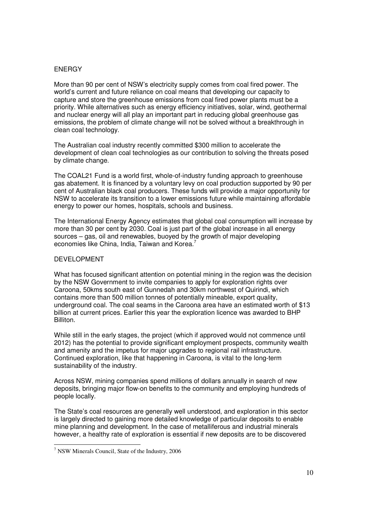#### **ENERGY**

More than 90 per cent of NSW's electricity supply comes from coal fired power. The world's current and future reliance on coal means that developing our capacity to capture and store the greenhouse emissions from coal fired power plants must be a priority. While alternatives such as energy efficiency initiatives, solar, wind, geothermal and nuclear energy will all play an important part in reducing global greenhouse gas emissions, the problem of climate change will not be solved without a breakthrough in clean coal technology.

The Australian coal industry recently committed \$300 million to accelerate the development of clean coal technologies as our contribution to solving the threats posed by climate change.

The COAL21 Fund is a world first, whole-of-industry funding approach to greenhouse gas abatement. It is financed by a voluntary levy on coal production supported by 90 per cent of Australian black coal producers. These funds will provide a major opportunity for NSW to accelerate its transition to a lower emissions future while maintaining affordable energy to power our homes, hospitals, schools and business.

The International Energy Agency estimates that global coal consumption will increase by more than 30 per cent by 2030. Coal is just part of the global increase in all energy sources – gas, oil and renewables, buoyed by the growth of major developing economies like China, India, Taiwan and Korea.<sup>7</sup>

#### DEVELOPMENT

What has focused significant attention on potential mining in the region was the decision by the NSW Government to invite companies to apply for exploration rights over Caroona, 50kms south east of Gunnedah and 30km northwest of Quirindi, which contains more than 500 million tonnes of potentially mineable, export quality, underground coal. The coal seams in the Caroona area have an estimated worth of \$13 billion at current prices. Earlier this year the exploration licence was awarded to BHP Billiton.

While still in the early stages, the project (which if approved would not commence until 2012) has the potential to provide significant employment prospects, community wealth and amenity and the impetus for major upgrades to regional rail infrastructure. Continued exploration, like that happening in Caroona, is vital to the long-term sustainability of the industry.

Across NSW, mining companies spend millions of dollars annually in search of new deposits, bringing major flow-on benefits to the community and employing hundreds of people locally.

The State's coal resources are generally well understood, and exploration in this sector is largely directed to gaining more detailed knowledge of particular deposits to enable mine planning and development. In the case of metalliferous and industrial minerals however, a healthy rate of exploration is essential if new deposits are to be discovered

<sup>7</sup> NSW Minerals Council, State of the Industry, 2006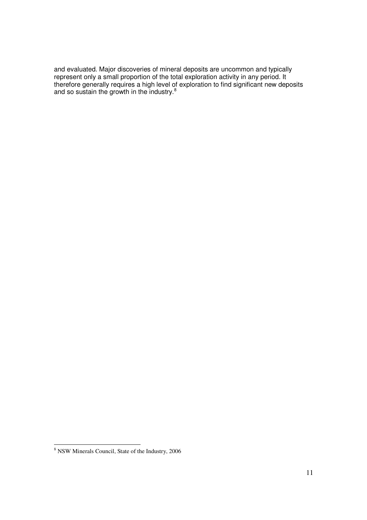and evaluated. Major discoveries of mineral deposits are uncommon and typically represent only a small proportion of the total exploration activity in any period. It therefore generally requires a high level of exploration to find significant new deposits and so sustain the growth in the industry.<sup>8</sup>

<sup>8</sup> NSW Minerals Council, State of the Industry, 2006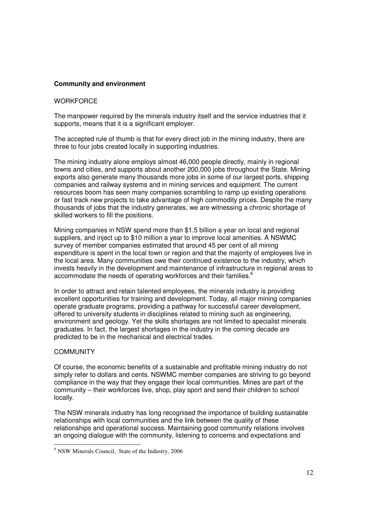#### **Community and environment**

#### **WORKFORCF**

The manpower required by the minerals industry itself and the service industries that it supports, means that it is a significant employer.

The accepted rule of thumb is that for every direct job in the mining industry, there are three to four jobs created locally in supporting industries.

The mining industry alone employs almost 46,000 people directly, mainly in regional towns and cities, and supports about another 200,000 jobs throughout the State. Mining exports also generate many thousands more jobs in some of our largest ports, shipping companies and railway systems and in mining services and equipment. The current resources boom has seen many companies scrambling to ramp up existing operations or fast track new projects to take advantage of high commodity prices. Despite the many thousands of jobs that the industry generates, we are witnessing a chronic shortage of skilled workers to fill the positions.

Mining companies in NSW spend more than \$1.5 billion a year on local and regional suppliers, and inject up to \$10 million a year to improve local amenities. A NSWMC survey of member companies estimated that around 45 per cent of all mining expenditure is spent in the local town or region and that the majority of employees live in the local area. Many communities owe their continued existence to the industry, which invests heavily in the development and maintenance of infrastructure in regional areas to accommodate the needs of operating workforces and their families.<sup>9</sup>

In order to attract and retain talented employees, the minerals industry is providing excellent opportunities for training and development. Today, all major mining companies operate graduate programs, providing a pathway for successful career development, offered to university students in disciplines related to mining such as engineering, environment and geology. Yet the skills shortages are not limited to specialist minerals graduates. In fact, the largest shortages in the industry in the coming decade are predicted to be in the mechanical and electrical trades.

#### **COMMUNITY**

Of course, the economic benefits of a sustainable and profitable mining industry do not simply refer to dollars and cents. NSWMC member companies are striving to go beyond compliance in the way that they engage their local communities. Mines are part of the community – their workforces live, shop, play sport and send their children to school locally.

The NSW minerals industry has long recognised the importance of building sustainable relationships with local communities and the link between the quality of these relationships and operational success. Maintaining good community relations involves an ongoing dialogue with the community, listening to concerns and expectations and

<sup>9</sup> NSW Minerals Council, State of the Industry, 2006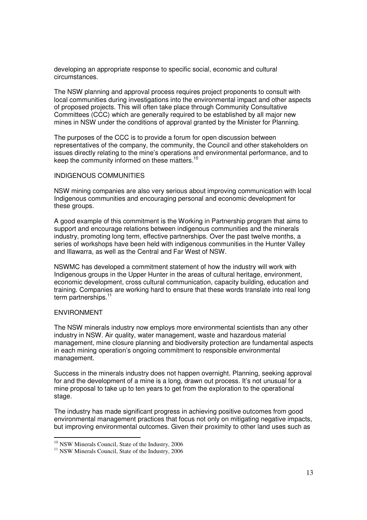developing an appropriate response to specific social, economic and cultural circumstances.

The NSW planning and approval process requires project proponents to consult with local communities during investigations into the environmental impact and other aspects of proposed projects. This will often take place through Community Consultative Committees (CCC) which are generally required to be established by all major new mines in NSW under the conditions of approval granted by the Minister for Planning.

The purposes of the CCC is to provide a forum for open discussion between representatives of the company, the community, the Council and other stakeholders on issues directly relating to the mine's operations and environmental performance, and to keep the community informed on these matters.<sup>10</sup>

#### INDIGENOUS COMMUNITIES

NSW mining companies are also very serious about improving communication with local Indigenous communities and encouraging personal and economic development for these groups.

A good example of this commitment is the Working in Partnership program that aims to support and encourage relations between indigenous communities and the minerals industry, promoting long term, effective partnerships. Over the past twelve months, a series of workshops have been held with indigenous communities in the Hunter Valley and Illawarra, as well as the Central and Far West of NSW.

NSWMC has developed a commitment statement of how the industry will work with Indigenous groups in the Upper Hunter in the areas of cultural heritage, environment, economic development, cross cultural communication, capacity building, education and training. Companies are working hard to ensure that these words translate into real long term partnerships.<sup>11</sup>

#### ENVIRONMENT

The NSW minerals industry now employs more environmental scientists than any other industry in NSW. Air quality, water management, waste and hazardous material management, mine closure planning and biodiversity protection are fundamental aspects in each mining operation's ongoing commitment to responsible environmental management.

Success in the minerals industry does not happen overnight. Planning, seeking approval for and the development of a mine is a long, drawn out process. It's not unusual for a mine proposal to take up to ten years to get from the exploration to the operational stage.

The industry has made significant progress in achieving positive outcomes from good environmental management practices that focus not only on mitigating negative impacts, but improving environmental outcomes. Given their proximity to other land uses such as

<sup>&</sup>lt;sup>10</sup> NSW Minerals Council, State of the Industry, 2006

<sup>&</sup>lt;sup>11</sup> NSW Minerals Council, State of the Industry, 2006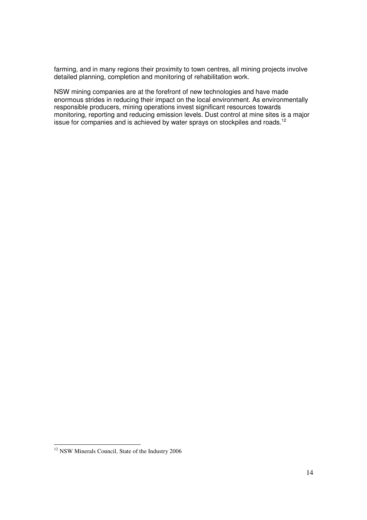farming, and in many regions their proximity to town centres, all mining projects involve detailed planning, completion and monitoring of rehabilitation work.

NSW mining companies are at the forefront of new technologies and have made enormous strides in reducing their impact on the local environment. As environmentally responsible producers, mining operations invest significant resources towards monitoring, reporting and reducing emission levels. Dust control at mine sites is a major issue for companies and is achieved by water sprays on stockpiles and roads.<sup>12</sup>

<sup>&</sup>lt;sup>12</sup> NSW Minerals Council, State of the Industry 2006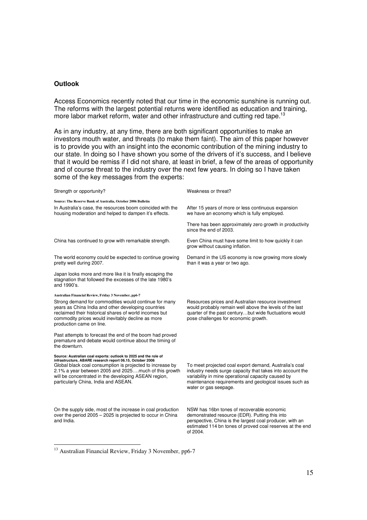#### **Outlook**

Access Economics recently noted that our time in the economic sunshine is running out. The reforms with the largest potential returns were identified as education and training, more labor market reform, water and other infrastructure and cutting red tape.<sup>13</sup>

As in any industry, at any time, there are both significant opportunities to make an investors mouth water, and threats (to make them faint). The aim of this paper however is to provide you with an insight into the economic contribution of the mining industry to our state. In doing so I have shown you some of the drivers of it's success, and I believe that it would be remiss if I did not share, at least in brief, a few of the areas of opportunity and of course threat to the industry over the next few years. In doing so I have taken some of the key messages from the experts:

| Strength or opportunity?                                                                                                                                                                                                                                                                                                                           | Weakness or threat?                                                                                                                                                                                                                                          |
|----------------------------------------------------------------------------------------------------------------------------------------------------------------------------------------------------------------------------------------------------------------------------------------------------------------------------------------------------|--------------------------------------------------------------------------------------------------------------------------------------------------------------------------------------------------------------------------------------------------------------|
| Source: The Reserve Bank of Australia, October 2006 Bulletin<br>In Australia's case, the resources boom coincided with the<br>housing moderation and helped to dampen it's effects.                                                                                                                                                                | After 15 years of more or less continuous expansion<br>we have an economy which is fully employed.                                                                                                                                                           |
|                                                                                                                                                                                                                                                                                                                                                    | There has been approximately zero growth in productivity<br>since the end of 2003.                                                                                                                                                                           |
| China has continued to grow with remarkable strength.                                                                                                                                                                                                                                                                                              | Even China must have some limit to how quickly it can<br>grow without causing inflation.                                                                                                                                                                     |
| The world economy could be expected to continue growing<br>pretty well during 2007.                                                                                                                                                                                                                                                                | Demand in the US economy is now growing more slowly<br>than it was a year or two ago.                                                                                                                                                                        |
| Japan looks more and more like it is finally escaping the<br>stagnation that followed the excesses of the late 1980's<br>and 1990's.                                                                                                                                                                                                               |                                                                                                                                                                                                                                                              |
| Australian Financial Review, Friday 3 November, pp6-7<br>Strong demand for commodities would continue for many<br>years as China India and other developing countries<br>reclaimed their historical shares of world incomes but<br>commodity prices would inevitably decline as more<br>production came on line.                                   | Resources prices and Australian resource investment<br>would probably remain well above the levels of the last<br>quarter of the past centurybut wide fluctuations would<br>pose challenges for economic growth.                                             |
| Past attempts to forecast the end of the boom had proved<br>premature and debate would continue about the timing of<br>the downturn.                                                                                                                                                                                                               |                                                                                                                                                                                                                                                              |
| Source: Australian coal exports: outlook to 2025 and the role of<br>infrastructure, ABARE research report 06.15, October 2006<br>Global black coal consumption is projected to increase by<br>2.1% a year between 2005 and 2025much of this growth<br>will be concentrated in the developing ASEAN region,<br>particularly China, India and ASEAN. | To meet projected coal export demand, Australia's coal<br>industry needs surge capacity that takes into account the<br>variability in mine operational capacity caused by<br>maintenance requirements and geological issues such as<br>water or gas seepage. |
| On the supply side, most of the increase in coal production<br>over the period 2005 - 2025 is projected to occur in China<br>and India.                                                                                                                                                                                                            | NSW has 16bn tones of recoverable economic<br>demonstrated resource (EDR). Putting this into<br>perspective, China is the largest coal producer, with an<br>estimated 114 bn tones of proved coal reserves at the end<br>of 2004.                            |

<sup>13</sup> Australian Financial Review, Friday 3 November, pp6-7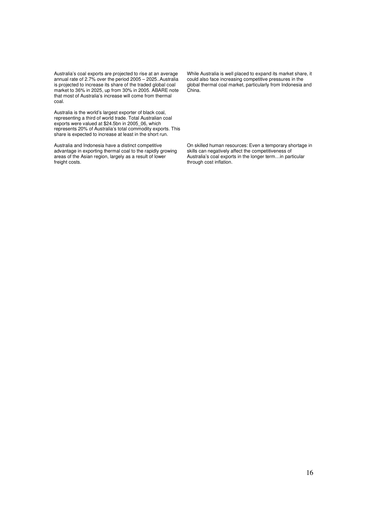Australia's coal exports are projected to rise at an average annual rate of 2.7% over the period 2005 – 2025..Australia is projected to increase its share of the traded global coal market to 36% in 2025, up from 30% in 2005. ABARE note that most of Australia's increase will come from thermal coal.

Australia is the world's largest exporter of black coal, representing a third of world trade. Total Australian coal exports were valued at \$24.5bn in 2005\_06, which represents 20% of Australia's total commodity exports. This share is expected to increase at least in the short run.

Australia and Indonesia have a distinct competitive advantage in exporting thermal coal to the rapidly growing areas of the Asian region, largely as a result of lower freight costs.

While Australia is well placed to expand its market share, it could also face increasing competitive pressures in the global thermal coal market, particularly from Indonesia and China.

On skilled human resources: Even a temporary shortage in skills can negatively affect the competitiveness of Australia's coal exports in the longer term…in particular through cost inflation.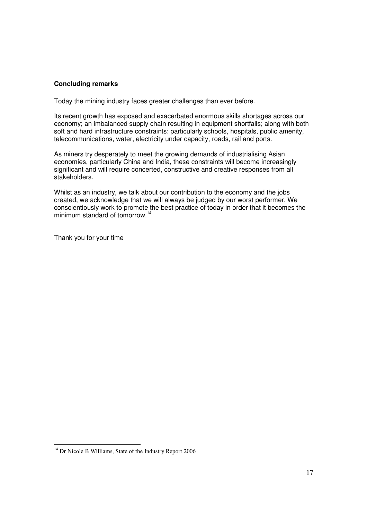#### **Concluding remarks**

Today the mining industry faces greater challenges than ever before.

Its recent growth has exposed and exacerbated enormous skills shortages across our economy; an imbalanced supply chain resulting in equipment shortfalls; along with both soft and hard infrastructure constraints: particularly schools, hospitals, public amenity, telecommunications, water, electricity under capacity, roads, rail and ports.

As miners try desperately to meet the growing demands of industrialising Asian economies, particularly China and India, these constraints will become increasingly significant and will require concerted, constructive and creative responses from all stakeholders.

Whilst as an industry, we talk about our contribution to the economy and the jobs created, we acknowledge that we will always be judged by our worst performer. We conscientiously work to promote the best practice of today in order that it becomes the minimum standard of tomorrow. 14

Thank you for your time

<sup>14</sup> Dr Nicole B Williams, State of the Industry Report 2006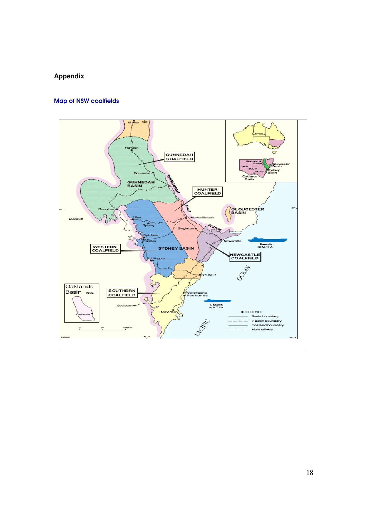## **Appendix**

## Map of NSW coalfields

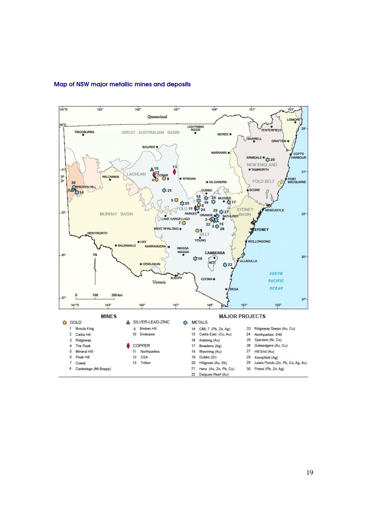

### Map of NSW major metallic mines and deposits